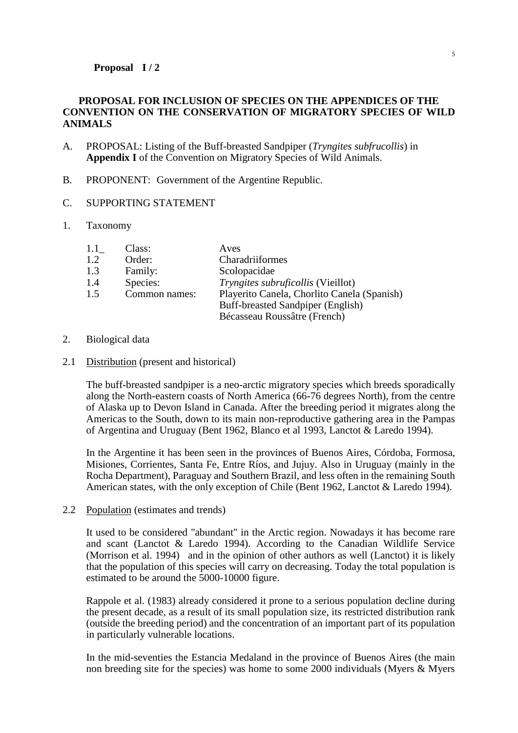## **PROPOSAL FOR INCLUSION OF SPECIES ON THE APPENDICES OF THE CONVENTION ON THE CONSERVATION OF MIGRATORY SPECIES OF WILD ANIMALS**

- A. PROPOSAL: Listing of the Buff-breasted Sandpiper (*Tryngites subfrucollis*) in **Appendix I** of the Convention on Migratory Species of Wild Animals.
- B. PROPONENT: Government of the Argentine Republic.
- C. SUPPORTING STATEMENT
- 1. Taxonomy

| 1.1 | Class:        | Aves                                        |
|-----|---------------|---------------------------------------------|
| 1.2 | Order:        | Charadriiformes                             |
| 1.3 | Family:       | Scolopacidae                                |
| 1.4 | Species:      | Tryngites subruficollis (Vieillot)          |
| 1.5 | Common names: | Playerito Canela, Chorlito Canela (Spanish) |
|     |               | Buff-breasted Sandpiper (English)           |
|     |               | Bécasseau Roussâtre (French)                |

## 2. Biological data

2.1 Distribution (present and historical)

The buff-breasted sandpiper is a neo-arctic migratory species which breeds sporadically along the North-eastern coasts of North America (66-76 degrees North), from the centre of Alaska up to Devon Island in Canada. After the breeding period it migrates along the Americas to the South, down to its main non-reproductive gathering area in the Pampas of Argentina and Uruguay (Bent 1962, Blanco et al 1993, Lanctot & Laredo 1994).

In the Argentine it has been seen in the provinces of Buenos Aires, Córdoba, Formosa, Misiones, Corrientes, Santa Fe, Entre Ríos, and Jujuy. Also in Uruguay (mainly in the Rocha Department), Paraguay and Southern Brazil, and less often in the remaining South American states, with the only exception of Chile (Bent 1962, Lanctot & Laredo 1994).

2.2 Population (estimates and trends)

It used to be considered "abundant" in the Arctic region. Nowadays it has become rare and scant (Lanctot & Laredo 1994). According to the Canadian Wildlife Service (Morrison et al. 1994) and in the opinion of other authors as well (Lanctot) it is likely that the population of this species will carry on decreasing. Today the total population is estimated to be around the 5000-10000 figure.

Rappole et al. (1983) already considered it prone to a serious population decline during the present decade, as a result of its small population size, its restricted distribution rank (outside the breeding period) and the concentration of an important part of its population in particularly vulnerable locations.

In the mid-seventies the Estancia Medaland in the province of Buenos Aires (the main non breeding site for the species) was home to some 2000 individuals (Myers & Myers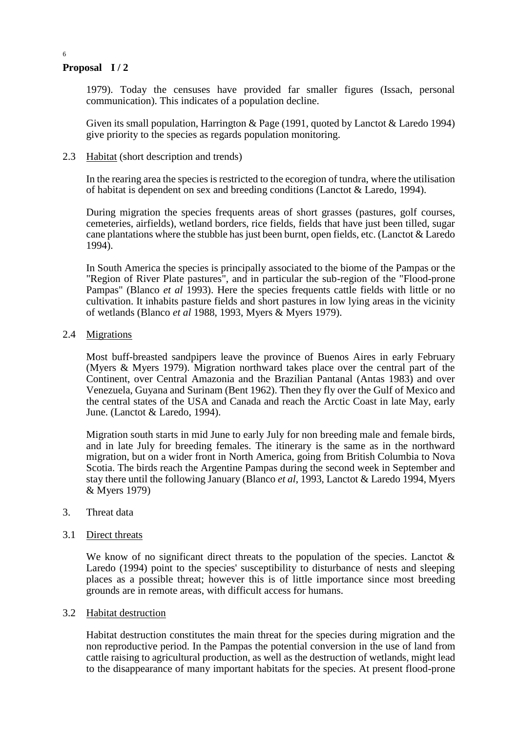6

1979). Today the censuses have provided far smaller figures (Issach, personal communication). This indicates of a population decline.

Given its small population, Harrington & Page (1991, quoted by Lanctot & Laredo 1994) give priority to the species as regards population monitoring.

## 2.3 Habitat (short description and trends)

In the rearing area the species is restricted to the ecoregion of tundra, where the utilisation of habitat is dependent on sex and breeding conditions (Lanctot & Laredo, 1994).

During migration the species frequents areas of short grasses (pastures, golf courses, cemeteries, airfields), wetland borders, rice fields, fields that have just been tilled, sugar cane plantations where the stubble has just been burnt, open fields, etc. (Lanctot  $&$  Laredo 1994).

In South America the species is principally associated to the biome of the Pampas or the "Region of River Plate pastures", and in particular the sub-region of the "Flood-prone Pampas" (Blanco *et al* 1993). Here the species frequents cattle fields with little or no cultivation. It inhabits pasture fields and short pastures in low lying areas in the vicinity of wetlands (Blanco *et al* 1988, 1993, Myers & Myers 1979).

## 2.4 Migrations

Most buff-breasted sandpipers leave the province of Buenos Aires in early February (Myers & Myers 1979). Migration northward takes place over the central part of the Continent, over Central Amazonia and the Brazilian Pantanal (Antas 1983) and over Venezuela, Guyana and Surinam (Bent 1962). Then they fly over the Gulf of Mexico and the central states of the USA and Canada and reach the Arctic Coast in late May, early June. (Lanctot & Laredo, 1994).

Migration south starts in mid June to early July for non breeding male and female birds, and in late July for breeding females. The itinerary is the same as in the northward migration, but on a wider front in North America, going from British Columbia to Nova Scotia. The birds reach the Argentine Pampas during the second week in September and stay there until the following January (Blanco *et al*, 1993, Lanctot & Laredo 1994, Myers & Myers 1979)

## 3. Threat data

#### 3.1 Direct threats

We know of no significant direct threats to the population of the species. Lanctot  $\&$ Laredo (1994) point to the species' susceptibility to disturbance of nests and sleeping places as a possible threat; however this is of little importance since most breeding grounds are in remote areas, with difficult access for humans.

#### 3.2 Habitat destruction

Habitat destruction constitutes the main threat for the species during migration and the non reproductive period. In the Pampas the potential conversion in the use of land from cattle raising to agricultural production, as well as the destruction of wetlands, might lead to the disappearance of many important habitats for the species. At present flood-prone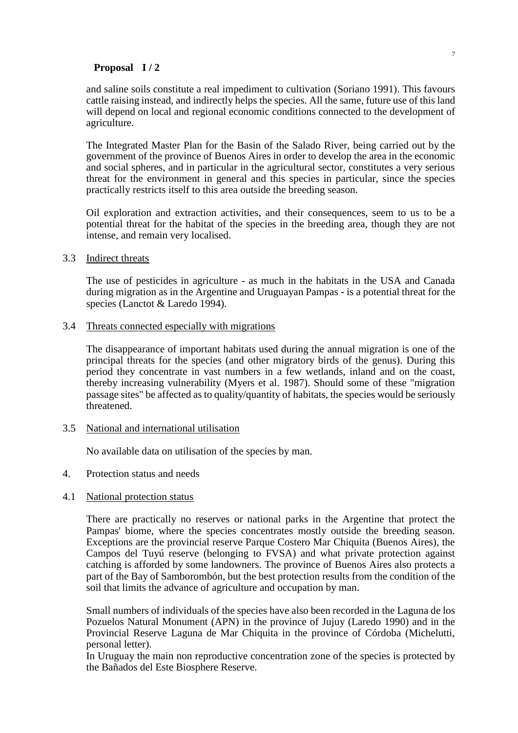and saline soils constitute a real impediment to cultivation (Soriano 1991). This favours cattle raising instead, and indirectly helps the species. All the same, future use of this land will depend on local and regional economic conditions connected to the development of agriculture.

The Integrated Master Plan for the Basin of the Salado River, being carried out by the government of the province of Buenos Aires in order to develop the area in the economic and social spheres, and in particular in the agricultural sector, constitutes a very serious threat for the environment in general and this species in particular, since the species practically restricts itself to this area outside the breeding season.

Oil exploration and extraction activities, and their consequences, seem to us to be a potential threat for the habitat of the species in the breeding area, though they are not intense, and remain very localised.

3.3 Indirect threats

The use of pesticides in agriculture - as much in the habitats in the USA and Canada during migration as in the Argentine and Uruguayan Pampas - is a potential threat for the species (Lanctot & Laredo 1994).

3.4 Threats connected especially with migrations

The disappearance of important habitats used during the annual migration is one of the principal threats for the species (and other migratory birds of the genus). During this period they concentrate in vast numbers in a few wetlands, inland and on the coast, thereby increasing vulnerability (Myers et al. 1987). Should some of these "migration passage sites" be affected as to quality/quantity of habitats, the species would be seriously threatened.

#### 3.5 National and international utilisation

No available data on utilisation of the species by man.

4. Protection status and needs

## 4.1 National protection status

There are practically no reserves or national parks in the Argentine that protect the Pampas' biome, where the species concentrates mostly outside the breeding season. Exceptions are the provincial reserve Parque Costero Mar Chiquita (Buenos Aires), the Campos del Tuyú reserve (belonging to FVSA) and what private protection against catching is afforded by some landowners. The province of Buenos Aires also protects a part of the Bay of Samborombón, but the best protection results from the condition of the soil that limits the advance of agriculture and occupation by man.

Small numbers of individuals of the species have also been recorded in the Laguna de los Pozuelos Natural Monument (APN) in the province of Jujuy (Laredo 1990) and in the Provincial Reserve Laguna de Mar Chiquita in the province of Córdoba (Michelutti, personal letter).

In Uruguay the main non reproductive concentration zone of the species is protected by the Bañados del Este Biosphere Reserve.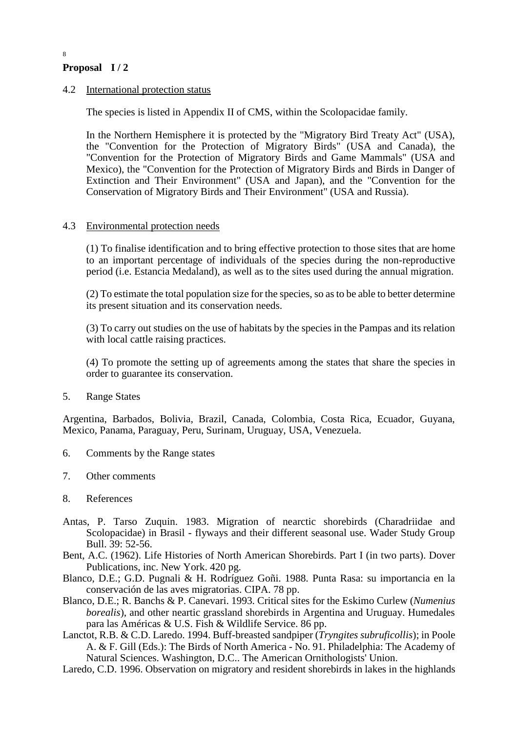8

## 4.2 International protection status

The species is listed in Appendix II of CMS, within the Scolopacidae family.

In the Northern Hemisphere it is protected by the "Migratory Bird Treaty Act" (USA), the "Convention for the Protection of Migratory Birds" (USA and Canada), the "Convention for the Protection of Migratory Birds and Game Mammals" (USA and Mexico), the "Convention for the Protection of Migratory Birds and Birds in Danger of Extinction and Their Environment" (USA and Japan), and the "Convention for the Conservation of Migratory Birds and Their Environment" (USA and Russia).

## 4.3 Environmental protection needs

(1) To finalise identification and to bring effective protection to those sites that are home to an important percentage of individuals of the species during the non-reproductive period (i.e. Estancia Medaland), as well as to the sites used during the annual migration.

(2) To estimate the total population size for the species, so as to be able to better determine its present situation and its conservation needs.

(3) To carry out studies on the use of habitats by the species in the Pampas and its relation with local cattle raising practices.

(4) To promote the setting up of agreements among the states that share the species in order to guarantee its conservation.

5. Range States

Argentina, Barbados, Bolivia, Brazil, Canada, Colombia, Costa Rica, Ecuador, Guyana, Mexico, Panama, Paraguay, Peru, Surinam, Uruguay, USA, Venezuela.

- 6. Comments by the Range states
- 7. Other comments

## 8. References

- Antas, P. Tarso Zuquin. 1983. Migration of nearctic shorebirds (Charadriidae and Scolopacidae) in Brasil - flyways and their different seasonal use. Wader Study Group Bull. 39: 52-56.
- Bent, A.C. (1962). Life Histories of North American Shorebirds. Part I (in two parts). Dover Publications, inc. New York. 420 pg.
- Blanco, D.E.; G.D. Pugnali & H. Rodríguez Goñi. 1988. Punta Rasa: su importancia en la conservación de las aves migratorias. CIPA. 78 pp.
- Blanco, D.E.; R. Banchs & P. Canevari. 1993. Critical sites for the Eskimo Curlew (*Numenius borealis*), and other neartic grassland shorebirds in Argentina and Uruguay. Humedales para las Américas & U.S. Fish & Wildlife Service. 86 pp.

Lanctot, R.B. & C.D. Laredo. 1994. Buff-breasted sandpiper (*Tryngites subruficollis*); in Poole A. & F. Gill (Eds.): The Birds of North America - No. 91. Philadelphia: The Academy of Natural Sciences. Washington, D.C.. The American Ornithologists' Union.

Laredo, C.D. 1996. Observation on migratory and resident shorebirds in lakes in the highlands